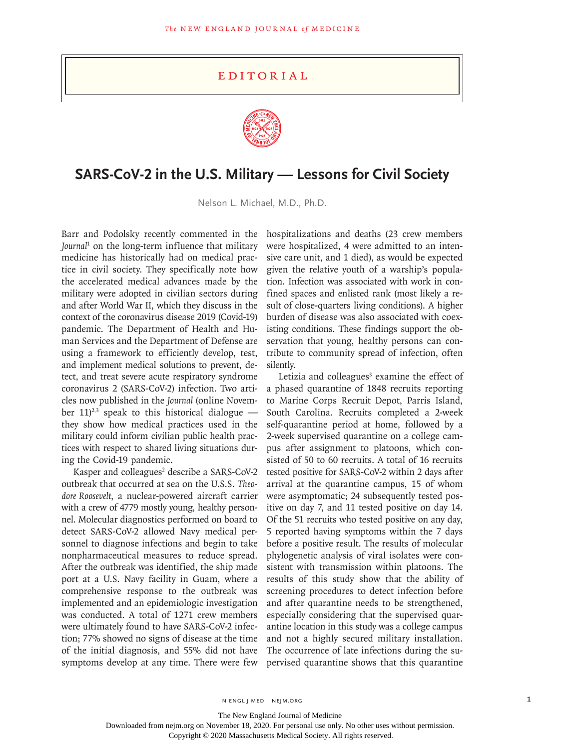## **EDITORIAL**



## **SARS-CoV-2 in the U.S. Military — Lessons for Civil Society**

Nelson L. Michael, M.D., Ph.D.

Journal<sup>1</sup> on the long-term influence that military medicine has historically had on medical practice in civil society. They specifically note how the accelerated medical advances made by the military were adopted in civilian sectors during and after World War II, which they discuss in the context of the coronavirus disease 2019 (Covid-19) pandemic. The Department of Health and Human Services and the Department of Defense are using a framework to efficiently develop, test, and implement medical solutions to prevent, detect, and treat severe acute respiratory syndrome coronavirus 2 (SARS-CoV-2) infection. Two articles now published in the *Journal* (online November 11)<sup>2,3</sup> speak to this historical dialogue they show how medical practices used in the military could inform civilian public health practices with respect to shared living situations during the Covid-19 pandemic.

Kasper and colleagues<sup>2</sup> describe a SARS-CoV-2 outbreak that occurred at sea on the U.S.S. *Theodore Roosevelt*, a nuclear-powered aircraft carrier with a crew of 4779 mostly young, healthy personnel. Molecular diagnostics performed on board to detect SARS-CoV-2 allowed Navy medical personnel to diagnose infections and begin to take nonpharmaceutical measures to reduce spread. After the outbreak was identified, the ship made port at a U.S. Navy facility in Guam, where a comprehensive response to the outbreak was implemented and an epidemiologic investigation was conducted. A total of 1271 crew members were ultimately found to have SARS-CoV-2 infection; 77% showed no signs of disease at the time of the initial diagnosis, and 55% did not have symptoms develop at any time. There were few

Barr and Podolsky recently commented in the hospitalizations and deaths (23 crew members were hospitalized, 4 were admitted to an intensive care unit, and 1 died), as would be expected given the relative youth of a warship's population. Infection was associated with work in confined spaces and enlisted rank (most likely a result of close-quarters living conditions). A higher burden of disease was also associated with coexisting conditions. These findings support the observation that young, healthy persons can contribute to community spread of infection, often silently.

> Letizia and colleagues<sup>3</sup> examine the effect of a phased quarantine of 1848 recruits reporting to Marine Corps Recruit Depot, Parris Island, South Carolina. Recruits completed a 2-week self-quarantine period at home, followed by a 2-week supervised quarantine on a college campus after assignment to platoons, which consisted of 50 to 60 recruits. A total of 16 recruits tested positive for SARS-CoV-2 within 2 days after arrival at the quarantine campus, 15 of whom were asymptomatic; 24 subsequently tested positive on day 7, and 11 tested positive on day 14. Of the 51 recruits who tested positive on any day, 5 reported having symptoms within the 7 days before a positive result. The results of molecular phylogenetic analysis of viral isolates were consistent with transmission within platoons. The results of this study show that the ability of screening procedures to detect infection before and after quarantine needs to be strengthened, especially considering that the supervised quarantine location in this study was a college campus and not a highly secured military installation. The occurrence of late infections during the supervised quarantine shows that this quarantine

The New England Journal of Medicine

Downloaded from nejm.org on November 18, 2020. For personal use only. No other uses without permission.

Copyright © 2020 Massachusetts Medical Society. All rights reserved.